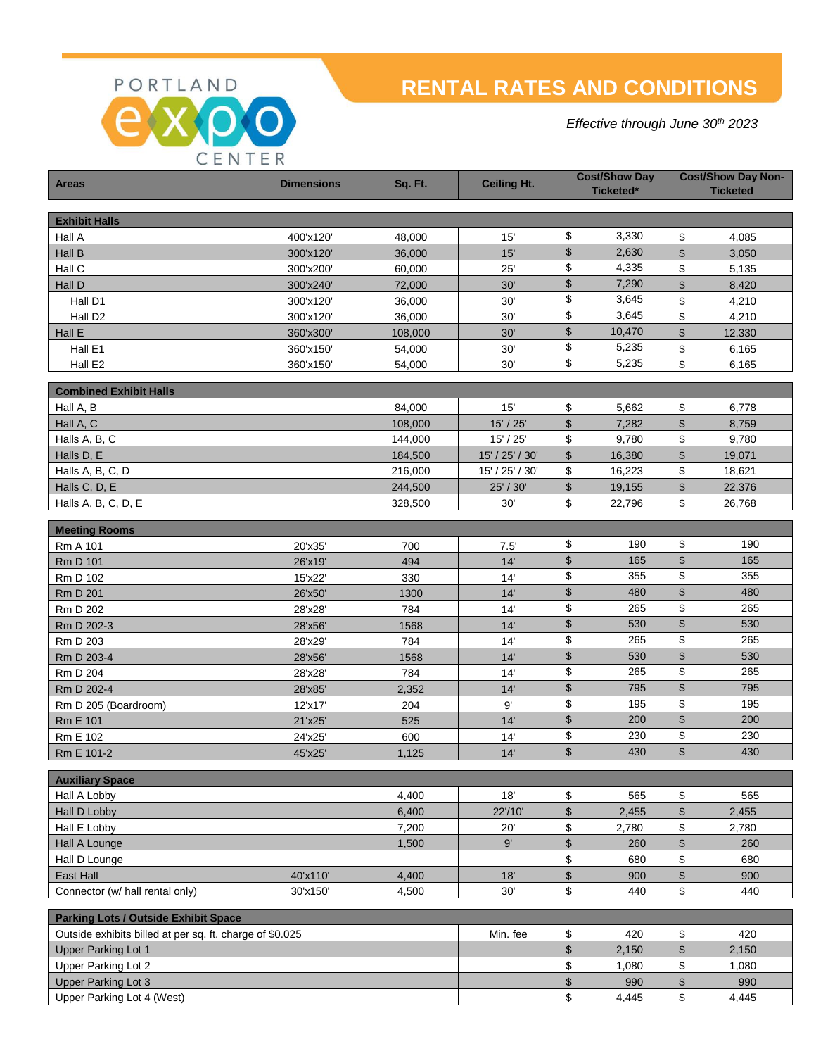PORTLAND

CENTER

# **RENTAL RATES AND CONDITIONS**

*Effective through June 30th 2023*

| <b>Areas</b>                                             | <b>Dimensions</b> | Sq. Ft. | <b>Ceiling Ht.</b> | <b>Cost/Show Day</b><br>Ticketed* |        | <b>Cost/Show Day Non-</b><br><b>Ticketed</b> |        |
|----------------------------------------------------------|-------------------|---------|--------------------|-----------------------------------|--------|----------------------------------------------|--------|
| <b>Exhibit Halls</b>                                     |                   |         |                    |                                   |        |                                              |        |
| Hall A                                                   | 400'x120'         | 48,000  | 15'                | \$                                | 3,330  | \$                                           | 4,085  |
| Hall B                                                   | 300'x120'         | 36,000  | 15'                | \$                                | 2,630  | $\mathfrak{s}$                               | 3,050  |
| Hall C                                                   | 300'x200'         | 60,000  | 25'                | \$                                | 4,335  | \$                                           | 5,135  |
| Hall D                                                   | 300'x240'         | 72,000  | 30'                | \$                                | 7,290  | $\boldsymbol{\mathsf{S}}$                    | 8,420  |
| Hall D1                                                  | 300'x120'         | 36,000  | 30'                | \$                                | 3,645  | \$                                           | 4,210  |
| Hall D <sub>2</sub>                                      | 300'x120'         | 36,000  | 30'                | \$                                | 3,645  | \$                                           | 4,210  |
| Hall E                                                   | 360'x300'         | 108,000 | 30'                | \$                                | 10,470 | $\boldsymbol{\mathsf{S}}$                    | 12,330 |
| Hall E1                                                  | 360'x150'         | 54,000  | 30'                | \$                                | 5,235  | \$                                           | 6,165  |
| Hall E2                                                  | 360'x150'         | 54,000  | 30'                | \$                                | 5,235  | \$                                           | 6,165  |
|                                                          |                   |         |                    |                                   |        |                                              |        |
| <b>Combined Exhibit Halls</b>                            |                   |         |                    |                                   |        |                                              |        |
| Hall A, B                                                |                   | 84,000  | 15'                | \$                                | 5,662  | \$                                           | 6,778  |
| Hall A, C                                                |                   | 108,000 | 15' / 25'          | \$                                | 7,282  | $\mathfrak{S}$                               | 8,759  |
| Halls A, B, C                                            |                   | 144,000 | 15' / 25'          | \$                                | 9,780  | \$                                           | 9,780  |
| Halls D, E                                               |                   | 184,500 | 15' / 25' / 30'    | $\mathfrak{s}$                    | 16,380 | $\mathfrak{s}$                               | 19,071 |
| Halls A, B, C, D                                         |                   | 216,000 | 15' / 25' / 30'    | \$                                | 16,223 | \$                                           | 18,621 |
| Halls C, D, E                                            |                   | 244,500 | 25' / 30'          | \$                                | 19,155 | $\boldsymbol{\mathsf{S}}$                    | 22,376 |
| Halls A, B, C, D, E                                      |                   | 328,500 | 30'                | \$                                | 22,796 | \$                                           | 26,768 |
| <b>Meeting Rooms</b>                                     |                   |         |                    |                                   |        |                                              |        |
| Rm A 101                                                 | 20'x35'           | 700     | 7.5'               | \$                                | 190    | \$                                           | 190    |
| <b>Rm D 101</b>                                          | 26'x19'           | 494     | 14'                | $\boldsymbol{\mathsf{S}}$         | 165    | $\boldsymbol{\mathsf{S}}$                    | 165    |
| Rm D 102                                                 | 15'x22'           | 330     | 14'                | \$                                | 355    | \$                                           | 355    |
| <b>Rm D 201</b>                                          | 26'x50'           | 1300    | 14'                | $\boldsymbol{\mathsf{S}}$         | 480    | $\boldsymbol{\mathsf{S}}$                    | 480    |
| <b>Rm D 202</b>                                          | 28'x28'           | 784     | 14'                | \$                                | 265    | \$                                           | 265    |
| Rm D 202-3                                               | 28'x56'           | 1568    | 14'                | $\boldsymbol{\mathsf{S}}$         | 530    | $\boldsymbol{\mathsf{S}}$                    | 530    |
| Rm D 203                                                 | 28'x29'           | 784     | 14'                | \$                                | 265    | \$                                           | 265    |
| Rm D 203-4                                               | 28'x56'           | 1568    | 14'                | $\boldsymbol{\mathsf{S}}$         | 530    | $\boldsymbol{\mathsf{S}}$                    | 530    |
| Rm D 204                                                 | 28'x28'           | 784     | 14'                | \$                                | 265    | \$                                           | 265    |
| Rm D 202-4                                               | 28'x85'           | 2,352   | 14'                | \$                                | 795    | $\boldsymbol{\mathsf{S}}$                    | 795    |
| Rm D 205 (Boardroom)                                     | 12'x17'           | 204     | 9'                 | \$                                | 195    | \$                                           | 195    |
| <b>Rm E 101</b>                                          | 21'x25'           | 525     | 14'                | \$                                | 200    | $\boldsymbol{\mathsf{S}}$                    | 200    |
| Rm E 102                                                 | 24'x25'           | 600     | 14'                | \$                                | 230    | \$                                           | 230    |
| Rm E 101-2                                               | 45'x25'           | 1,125   | 14'                | \$                                | 430    | $\boldsymbol{\mathsf{S}}$                    | 430    |
|                                                          |                   |         |                    |                                   |        |                                              |        |
| <b>Auxiliary Space</b><br>Hall A Lobby                   |                   | 4,400   | 18'                | \$                                | 565    | \$                                           | 565    |
| Hall D Lobby                                             |                   | 6,400   | 22'/10'            | $\boldsymbol{\mathsf{S}}$         | 2,455  | $\mathfrak{S}$                               | 2,455  |
| Hall E Lobby                                             |                   | 7,200   | 20'                | \$                                | 2,780  | \$                                           | 2,780  |
| Hall A Lounge                                            |                   | 1,500   | 9'                 | $\boldsymbol{\mathsf{S}}$         | 260    | $\boldsymbol{\mathsf{S}}$                    | 260    |
| Hall D Lounge                                            |                   |         |                    | \$                                | 680    | \$                                           | 680    |
| East Hall                                                | 40'x110'          | 4,400   | 18'                | $\sqrt{2}$                        | 900    | $\$\$                                        | 900    |
| Connector (w/ hall rental only)                          | 30'x150'          | 4,500   | 30'                | \$                                | 440    | \$                                           | 440    |
|                                                          |                   |         |                    |                                   |        |                                              |        |
| <b>Parking Lots / Outside Exhibit Space</b>              |                   |         |                    |                                   |        |                                              |        |
| Outside exhibits billed at per sq. ft. charge of \$0.025 |                   |         | Min. fee           | \$                                | 420    | \$                                           | 420    |
| <b>Upper Parking Lot 1</b>                               |                   |         |                    | $\boldsymbol{\mathsf{S}}$         | 2,150  | $\boldsymbol{\mathsf{S}}$                    | 2,150  |
| Upper Parking Lot 2                                      |                   |         |                    | \$                                | 1,080  | \$                                           | 1,080  |
| <b>Upper Parking Lot 3</b>                               |                   |         |                    | $\,$                              | 990    | $\boldsymbol{\mathsf{S}}$                    | 990    |
| Upper Parking Lot 4 (West)                               |                   |         |                    | \$                                | 4,445  | \$                                           | 4,445  |